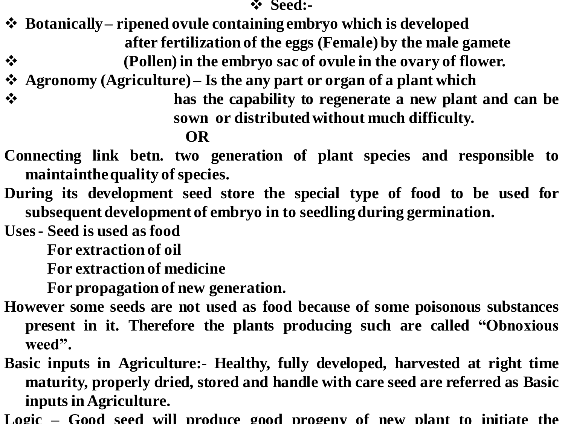❖ **Seed:-**

- ❖ **Botanically – ripened ovule containing embryo which is developed after fertilization of the eggs (Female) by the male gamete**
- ❖ **(Pollen)in the embryo sac of ovule in the ovary of flower.**
- ❖ **Agronomy (Agriculture) – Is the any part or organ of a plant which**
- ❖ **has the capability to regenerate a new plant and can be sown or distributedwithout much difficulty.**

## **OR**

- **Connecting link betn. two generation of plant species and responsible to maintainthe quality of species.**
- **During its development seed store the special type of food to be used for subsequent development of embryo in to seedlingduring germination.**
- **Uses- Seed is used as food**

**For extraction of oil**

**For extraction of medicine**

**For propagation of new generation.**

- **However some seeds are not used as food because of some poisonous substances present in it. Therefore the plants producing such are called "Obnoxious weed".**
- **Basic inputs in Agriculture:- Healthy, fully developed, harvested at right time maturity, properly dried, stored and handle with care seed are referred as Basic inputs in Agriculture.**
- **Logic – Good seed will produce good progeny of new plant to initiate the**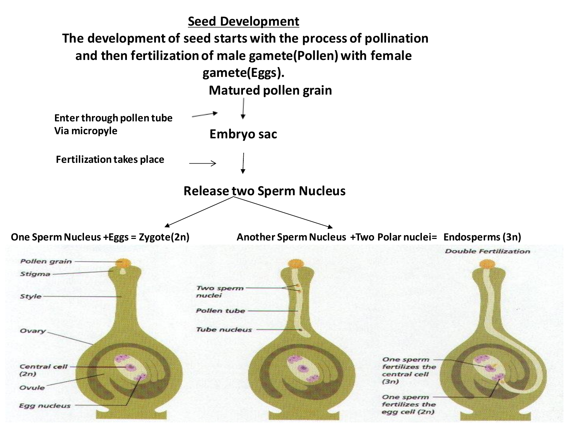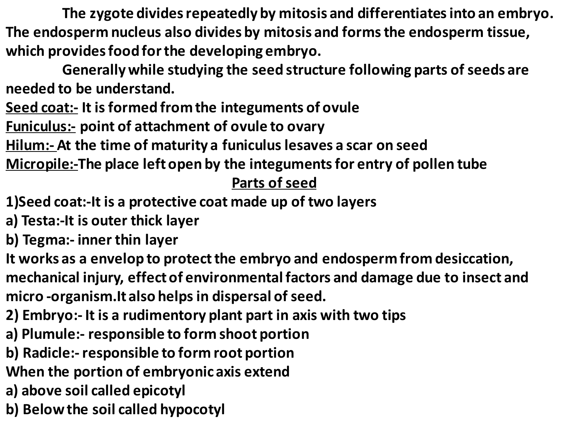**The zygote divides repeatedly by mitosis and differentiates into an embryo. The endosperm nucleus also divides by mitosis and forms the endosperm tissue, which provides food for the developing embryo.**

**Generally while studying the seed structure following parts of seeds are needed to be understand.**

**Seed coat:- It is formed from the integuments of ovule**

**Funiculus:- point of attachment of ovule to ovary**

**Hilum:- At the time of maturity a funiculus lesaves a scar on seed** 

**Micropile:-The place left open by the integuments for entry of pollen tube**

## **Parts of seed**

- **1)Seed coat:-It is a protective coat made up of two layers**
- **a) Testa:-It is outer thick layer**
- **b) Tegma:- inner thin layer**
- **It works as a envelop to protect the embryo and endosperm from desiccation, mechanical injury, effect of environmental factors and damage due to insect and micro -organism.It also helps in dispersal of seed.**
- **2) Embryo:- It is a rudimentory plant part in axis with two tips**
- **a) Plumule:- responsible to form shoot portion**
- **b) Radicle:-responsible to form root portion**
- **When the portion of embryonic axis extend**
- **a) above soil called epicotyl**
- **b) Below the soil called hypocotyl**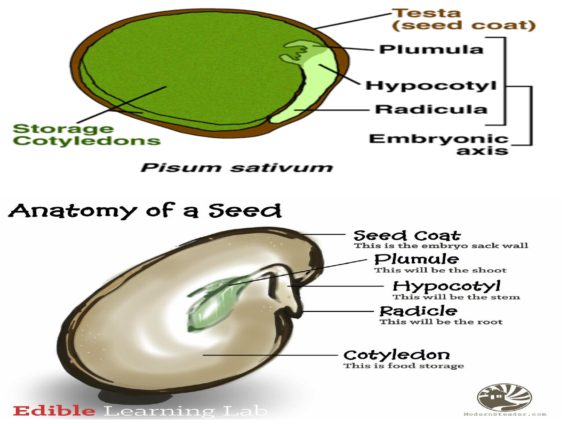

Pisum sativum

# Anatomy of a Seed

**Seed Coat** This is the embryo sack wall

Plumule This will be the shoot

Hypocotyl<br>This will be the stem

Radicle This will be the root

## Cotyledon

This is food storage



#### **Edible** Learning Lab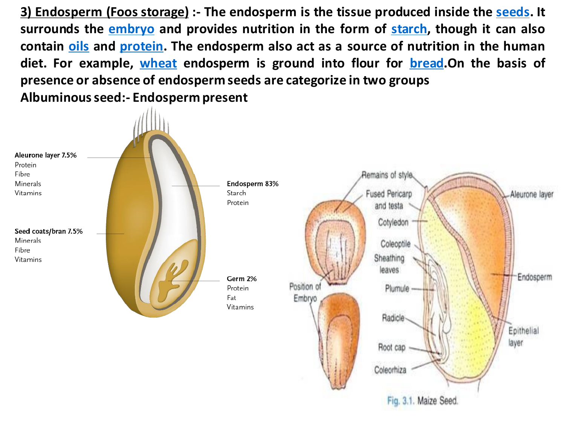**3) Endosperm (Foos storage) :- The endosperm is the tissue produced inside the [seeds.](https://en.wikipedia.org/wiki/Seed) It surrounds the [embryo](https://en.wikipedia.org/wiki/Embryo) and provides nutrition in the form of [starch,](https://en.wikipedia.org/wiki/Starch) though it can also contain [oils](https://en.wikipedia.org/wiki/Vegetable_oil) and [protein.](https://en.wikipedia.org/wiki/Protein) The endosperm also act as a source of nutrition in the human diet. For example, [wheat](https://en.wikipedia.org/wiki/Wheat) endosperm is ground into flour for [bread.](https://en.wikipedia.org/wiki/Bread)On the basis of presence or absence of endosperm seeds are categorize in two groups Albuminousseed:- Endosperm present**

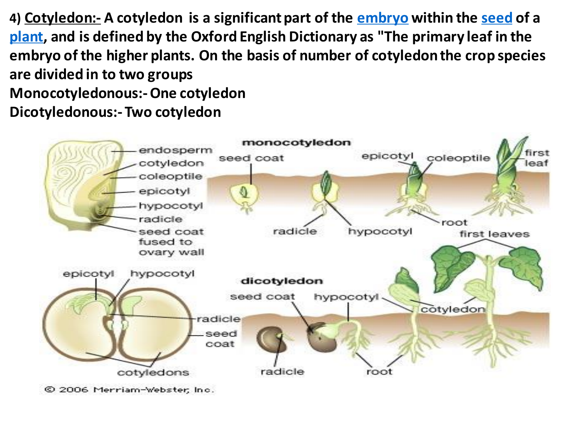**4) Cotyledon:- A cotyledon is a significant part of the [embryo](https://en.wikipedia.org/wiki/Embryo) within the [seed](https://en.wikipedia.org/wiki/Seed) of a [plant,](https://en.wikipedia.org/wiki/Plant) and is defined by the Oxford English Dictionary as "The primary leaf in the embryo of the higher plants. On the basis of number of cotyledon the crop species are divided in to two groups Monocotyledonous:-One cotyledon Dicotyledonous:- Two cotyledon**



© 2006 Merriam-Webster, Inc.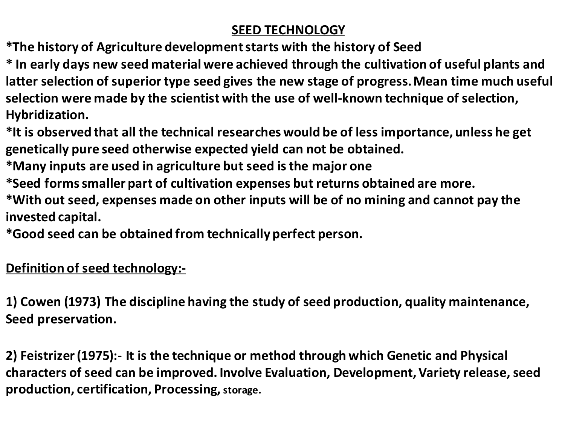### **SEED TECHNOLOGY**

**\*The history of Agriculture development starts with the history of Seed**

**\* In early days new seed material were achieved through the cultivation of useful plants and latter selection of superior type seed gives the new stage of progress. Mean time much useful selection were made by the scientist with the use of well-known technique of selection, Hybridization.**

**\*It is observed that all the technical researches would be of less importance, unless he get genetically pure seed otherwise expected yield can not be obtained.**

**\*Many inputs are used in agriculture but seed is the major one**

**\*Seed forms smaller part of cultivation expenses but returns obtained are more.**

**\*With out seed, expenses made on other inputs will be of no mining and cannot pay the invested capital.**

**\*Good seed can be obtained from technically perfect person.**

**Definition of seed technology:-**

**1) Cowen (1973) The discipline having the study of seed production, quality maintenance, Seed preservation.**

**2) Feistrizer (1975):- It is the technique or method through which Genetic and Physical characters of seed can be improved. Involve Evaluation, Development, Variety release, seed production, certification, Processing, storage.**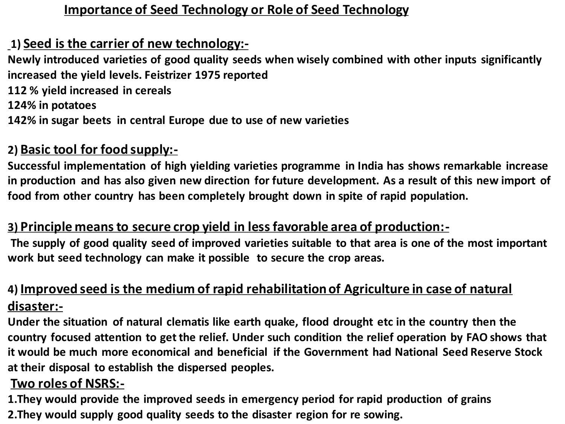### **Importance of Seed Technology or Role of Seed Technology**

### **1) Seed is the carrier of new technology:-**

**Newly introduced varieties of good quality seeds when wisely combined with other inputs significantly increased the yield levels. Feistrizer 1975 reported** 

**112 % yield increased in cereals**

**124% in potatoes**

**142% in sugar beets in central Europe due to use of new varieties**

## **2) Basic tool for food supply:-**

**Successful implementation of high yielding varieties programme in India has shows remarkable increase in production and has also given new direction for future development. As a result of this new import of food from other country has been completely brought down in spite of rapid population.**

### **3) Principle means to secure crop yield in less favorable area of production:-**

**The supply of good quality seed of improved varieties suitable to that area is one of the most important work but seed technology can make it possible to secure the crop areas.** 

## **4) Improved seed is the medium of rapid rehabilitation of Agriculture in case of natural disaster:-**

**Under the situation of natural clematis like earth quake, flood drought etc in the country then the country focused attention to get the relief. Under such condition the relief operation by FAO shows that it would be much more economical and beneficial if the Government had National Seed Reserve Stock at their disposal to establish the dispersed peoples.**

#### **Two roles of NSRS:-**

**1.They would provide the improved seeds in emergency period for rapid production of grains 2.They would supply good quality seeds to the disaster region for re sowing.**